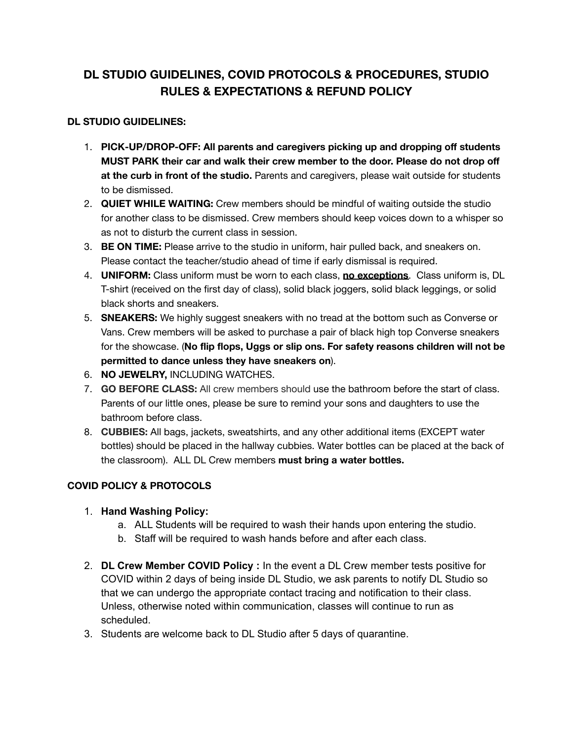# **DL STUDIO GUIDELINES, COVID PROTOCOLS & PROCEDURES, STUDIO RULES & EXPECTATIONS & REFUND POLICY**

## **DL STUDIO GUIDELINES:**

- 1. **PICK-UP/DROP-OFF: All parents and caregivers picking up and dropping off students MUST PARK their car and walk their crew member to the door. Please do not drop off at the curb in front of the studio.** Parents and caregivers, please wait outside for students to be dismissed.
- 2. **QUIET WHILE WAITING:** Crew members should be mindful of waiting outside the studio for another class to be dismissed. Crew members should keep voices down to a whisper so as not to disturb the current class in session.
- 3. **BE ON TIME:** Please arrive to the studio in uniform, hair pulled back, and sneakers on. Please contact the teacher/studio ahead of time if early dismissal is required.
- 4. **UNIFORM:** Class uniform must be worn to each class, **no exceptions**. Class uniform is, DL T-shirt (received on the first day of class), solid black joggers, solid black leggings, or solid black shorts and sneakers.
- 5. **SNEAKERS:** We highly suggest sneakers with no tread at the bottom such as Converse or Vans. Crew members will be asked to purchase a pair of black high top Converse sneakers for the showcase. (**No flip flops, Uggs or slip ons. For safety reasons children will not be permitted to dance unless they have sneakers on**).
- 6. **NO JEWELRY,** INCLUDING WATCHES.
- 7. **GO BEFORE CLASS:** All crew members should use the bathroom before the start of class. Parents of our little ones, please be sure to remind your sons and daughters to use the bathroom before class.
- 8. **CUBBIES:** All bags, jackets, sweatshirts, and any other additional items (EXCEPT water bottles) should be placed in the hallway cubbies. Water bottles can be placed at the back of the classroom). ALL DL Crew members **must bring a water bottles.**

# **COVID POLICY & PROTOCOLS**

## 1. **Hand Washing Policy:**

- a. ALL Students will be required to wash their hands upon entering the studio.
- b. Staff will be required to wash hands before and after each class.
- 2. **DL Crew Member COVID Policy :** In the event a DL Crew member tests positive for COVID within 2 days of being inside DL Studio, we ask parents to notify DL Studio so that we can undergo the appropriate contact tracing and notification to their class. Unless, otherwise noted within communication, classes will continue to run as scheduled.
- 3. Students are welcome back to DL Studio after 5 days of quarantine.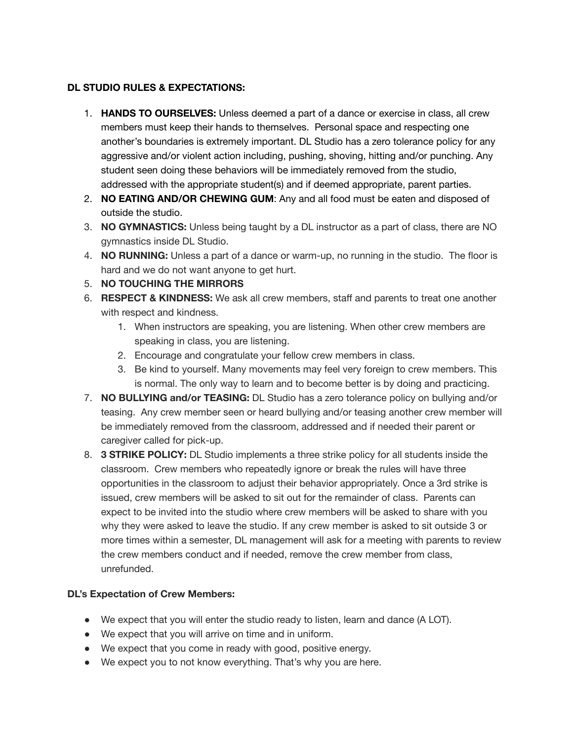## **DL STUDIO RULES & EXPECTATIONS:**

- 1. **HANDS TO OURSELVES:** Unless deemed a part of a dance or exercise in class, all crew members must keep their hands to themselves. Personal space and respecting one another's boundaries is extremely important. DL Studio has a zero tolerance policy for any aggressive and/or violent action including, pushing, shoving, hitting and/or punching. Any student seen doing these behaviors will be immediately removed from the studio, addressed with the appropriate student(s) and if deemed appropriate, parent parties.
- 2. **NO EATING AND/OR CHEWING GUM**: Any and all food must be eaten and disposed of outside the studio.
- 3. **NO GYMNASTICS:** Unless being taught by a DL instructor as a part of class, there are NO gymnastics inside DL Studio.
- 4. **NO RUNNING:** Unless a part of a dance or warm-up, no running in the studio. The floor is hard and we do not want anyone to get hurt.
- 5. **NO TOUCHING THE MIRRORS**
- 6. **RESPECT & KINDNESS:** We ask all crew members, staff and parents to treat one another with respect and kindness.
	- 1. When instructors are speaking, you are listening. When other crew members are speaking in class, you are listening.
	- 2. Encourage and congratulate your fellow crew members in class.
	- 3. Be kind to yourself. Many movements may feel very foreign to crew members. This is normal. The only way to learn and to become better is by doing and practicing.
- 7. **NO BULLYING and/or TEASING:** DL Studio has a zero tolerance policy on bullying and/or teasing. Any crew member seen or heard bullying and/or teasing another crew member will be immediately removed from the classroom, addressed and if needed their parent or caregiver called for pick-up.
- 8. **3 STRIKE POLICY:** DL Studio implements a three strike policy for all students inside the classroom. Crew members who repeatedly ignore or break the rules will have three opportunities in the classroom to adjust their behavior appropriately. Once a 3rd strike is issued, crew members will be asked to sit out for the remainder of class. Parents can expect to be invited into the studio where crew members will be asked to share with you why they were asked to leave the studio. If any crew member is asked to sit outside 3 or more times within a semester, DL management will ask for a meeting with parents to review the crew members conduct and if needed, remove the crew member from class, unrefunded.

## **DL's Expectation of Crew Members:**

- We expect that you will enter the studio ready to listen, learn and dance (A LOT).
- We expect that you will arrive on time and in uniform.
- We expect that you come in ready with good, positive energy.
- We expect you to not know everything. That's why you are here.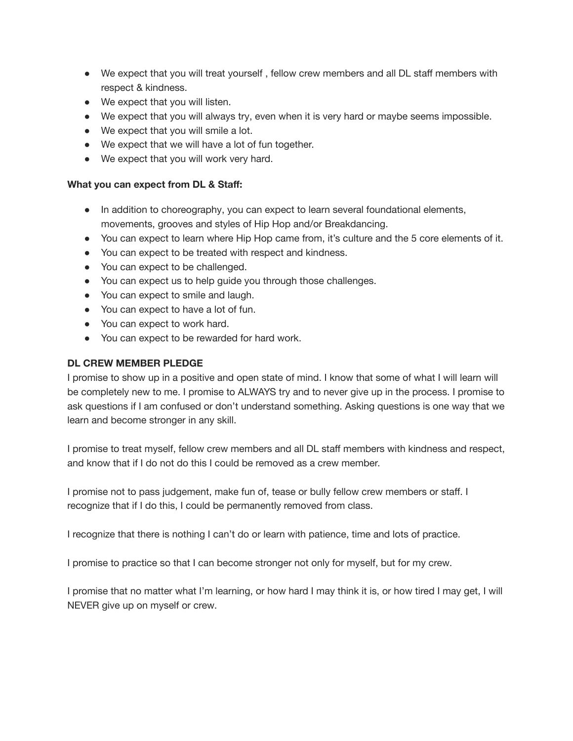- We expect that you will treat yourself, fellow crew members and all DL staff members with respect & kindness.
- We expect that you will listen.
- We expect that you will always try, even when it is very hard or maybe seems impossible.
- We expect that you will smile a lot.
- We expect that we will have a lot of fun together.
- We expect that you will work very hard.

#### **What you can expect from DL & Staff:**

- In addition to choreography, you can expect to learn several foundational elements, movements, grooves and styles of Hip Hop and/or Breakdancing.
- You can expect to learn where Hip Hop came from, it's culture and the 5 core elements of it.
- You can expect to be treated with respect and kindness.
- You can expect to be challenged.
- You can expect us to help guide you through those challenges.
- You can expect to smile and laugh.
- You can expect to have a lot of fun.
- You can expect to work hard.
- You can expect to be rewarded for hard work.

#### **DL CREW MEMBER PLEDGE**

I promise to show up in a positive and open state of mind. I know that some of what I will learn will be completely new to me. I promise to ALWAYS try and to never give up in the process. I promise to ask questions if I am confused or don't understand something. Asking questions is one way that we learn and become stronger in any skill.

I promise to treat myself, fellow crew members and all DL staff members with kindness and respect, and know that if I do not do this I could be removed as a crew member.

I promise not to pass judgement, make fun of, tease or bully fellow crew members or staff. I recognize that if I do this, I could be permanently removed from class.

I recognize that there is nothing I can't do or learn with patience, time and lots of practice.

I promise to practice so that I can become stronger not only for myself, but for my crew.

I promise that no matter what I'm learning, or how hard I may think it is, or how tired I may get, I will NEVER give up on myself or crew.